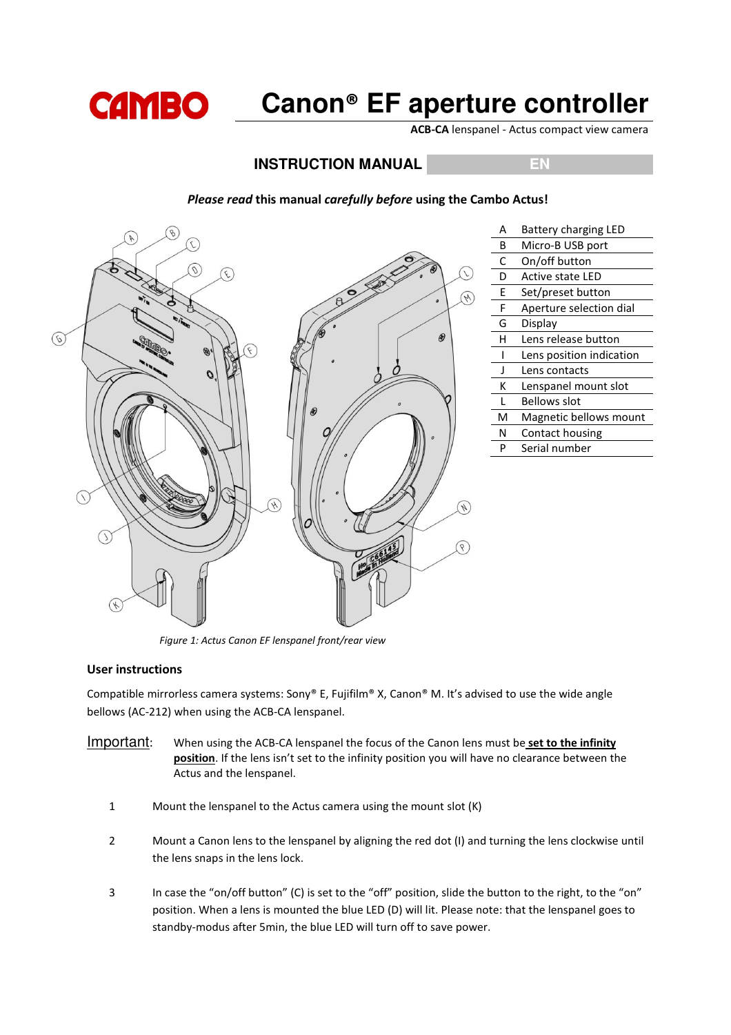

# **Canon**® **EF aperture controller**

ACB-CA lenspanel - Actus compact view camera

# **INSTRUCTION MANUAL EN BR**

# A Battery charging LED B Micro-B USB port C On/off button D Active state LED E Set/preset button F Aperture selection dial G Display  $\circledast$  $(6)$ H Lens release button I Lens position indication J Lens contacts K Lenspanel mount slot L Bellows slot M Magnetic bellows mount N Contact housing P Serial number Á ত্

#### Please read this manual carefully before using the Cambo Actus!

Figure 1: Actus Canon EF lenspanel front/rear view

#### User instructions

Compatible mirrorless camera systems: Sony® E, Fujifilm® X, Canon® M. It's advised to use the wide angle bellows (AC-212) when using the ACB-CA lenspanel.

- Important: When using the ACB-CA lenspanel the focus of the Canon lens must be set to the infinity position. If the lens isn't set to the infinity position you will have no clearance between the Actus and the lenspanel.
	- 1 Mount the lenspanel to the Actus camera using the mount slot (K)
	- 2 Mount a Canon lens to the lenspanel by aligning the red dot (I) and turning the lens clockwise until the lens snaps in the lens lock.
	- 3 In case the "on/off button" (C) is set to the "off" position, slide the button to the right, to the "on" position. When a lens is mounted the blue LED (D) will lit. Please note: that the lenspanel goes to standby-modus after 5min, the blue LED will turn off to save power.